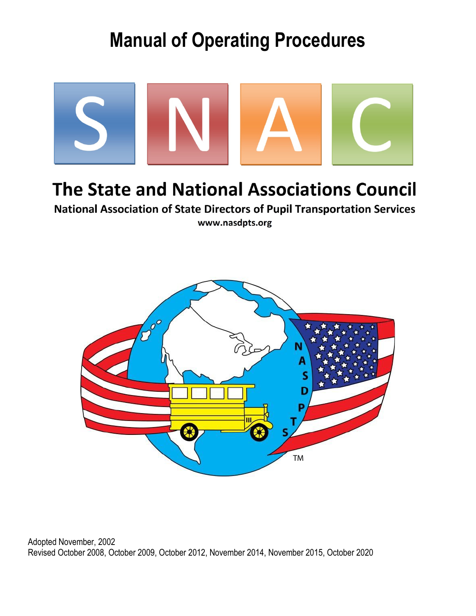# **Manual of Operating Procedures**



## The State and National Associations Council

**National Association of State Directors of Pupil Transportation Services** www.nasdpts.org



Adopted November, 2002 Revised October 2008, October 2009, October 2012, November 2014, November 2015, October 2020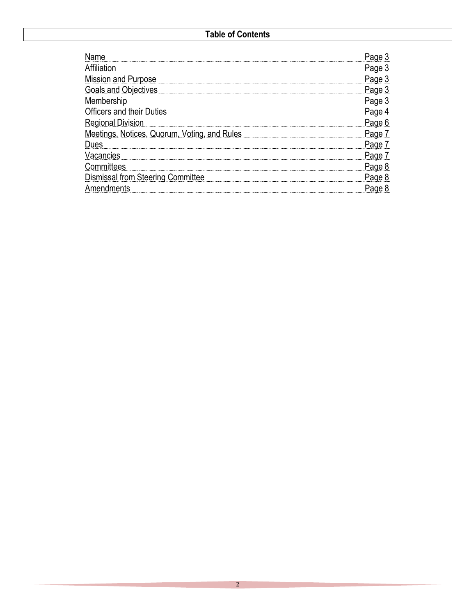| Affiliation                                  | Page 3        |
|----------------------------------------------|---------------|
| <b>Mission and Purpose</b>                   | Page 3        |
| <b>Goals and Objectives</b>                  | Page 3        |
| Membership                                   | Page 3        |
| <b>Officers and their Duties</b>             | Page 4        |
| <b>Regional Division</b>                     | Page 6        |
| Meetings, Notices, Quorum, Voting, and Rules | Page /        |
| Dues                                         | <u>Page 7</u> |
| Vacancies                                    | Page /        |
| Committees                                   | Page 8        |
| Dismissal from Steering Committee            |               |
| Amendments                                   |               |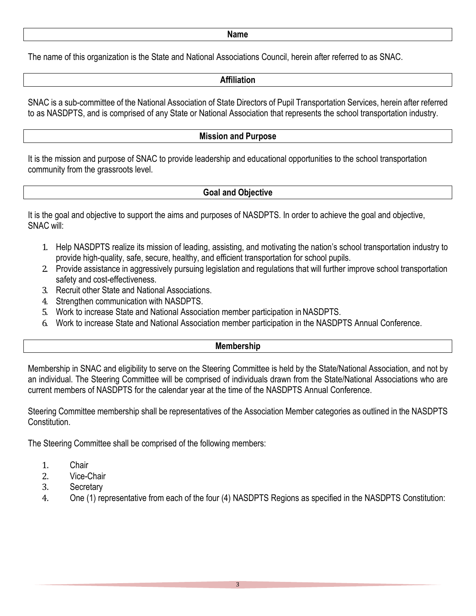#### **Name**

The name of this organization is the State and National Associations Council, herein after referred to as SNAC.

#### **Affiliation**

SNAC is a sub-committee of the National Association of State Directors of Pupil Transportation Services, herein after referred to as NASDPTS, and is comprised of any State or National Association that represents the school transportation industry.

## **Mission and Purpose**

It is the mission and purpose of SNAC to provide leadership and educational opportunities to the school transportation community from the grassroots level.

## **Goal and Objective**

It is the goal and objective to support the aims and purposes of NASDPTS. In order to achieve the goal and objective, SNAC will:

- 1. Help NASDPTS realize its mission of leading, assisting, and motivating the nation's school transportation industry to provide high-quality, safe, secure, healthy, and efficient transportation for school pupils.
- 2. Provide assistance in aggressively pursuing legislation and regulations that will further improve school transportation safety and cost-effectiveness.
- 3. Recruit other State and National Associations.
- 4. Strengthen communication with NASDPTS.
- 5. Work to increase State and National Association member participation in NASDPTS.
- 6. Work to increase State and National Association member participation in the NASDPTS Annual Conference.

## **Membership**

Membership in SNAC and eligibility to serve on the Steering Committee is held by the State/National Association, and not by an individual. The Steering Committee will be comprised of individuals drawn from the State/National Associations who are current members of NASDPTS for the calendar year at the time of the NASDPTS Annual Conference.

Steering Committee membership shall be representatives of the Association Member categories as outlined in the NASDPTS Constitution.

The Steering Committee shall be comprised of the following members:

- 1. Chair<br>2. Vice-0
- 2. Vice-Chair<br>3. Secretary
- 3. Secretary<br>4. One (1) re
- 4. One (1) representative from each of the four (4) NASDPTS Regions as specified in the NASDPTS Constitution: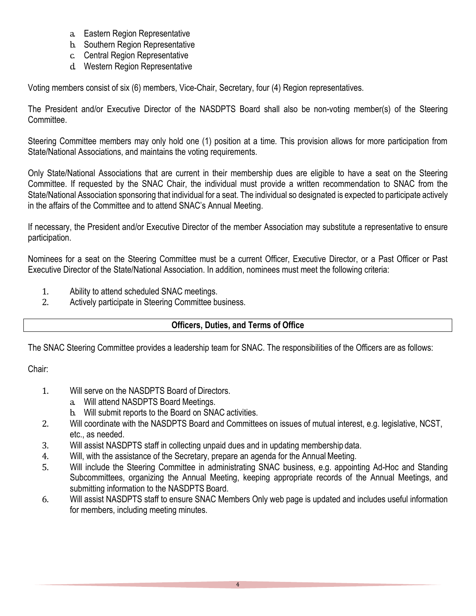- a. Eastern Region Representative
- b. Southern Region Representative
- c. Central Region Representative
- d. Western Region Representative

Voting members consist of six (6) members, Vice-Chair, Secretary, four (4) Region representatives.

The President and/or Executive Director of the NASDPTS Board shall also be non-voting member(s) of the Steering Committee.

Steering Committee members may only hold one (1) position at a time. This provision allows for more participation from State/National Associations, and maintains the voting requirements.

Only State/National Associations that are current in their membership dues are eligible to have a seat on the Steering Committee. If requested by the SNAC Chair, the individual must provide a written recommendation to SNAC from the State/National Association sponsoring that individual for a seat. The individual so designated is expected to participate actively in the affairs of the Committee and to attend SNAC's Annual Meeting.

If necessary, the President and/or Executive Director of the member Association may substitute a representative to ensure participation.

Nominees for a seat on the Steering Committee must be a current Officer, Executive Director, or a Past Officer or Past Executive Director of the State/National Association. In addition, nominees must meet the following criteria:

- 1. Ability to attend scheduled SNAC meetings.<br>2. Actively participate in Steering Committee bu
- Actively participate in Steering Committee business.

## **Officers, Duties, and Terms of Office**

The SNAC Steering Committee provides a leadership team for SNAC. The responsibilities of the Officers are as follows:

Chair:

- 1. Will serve on the NASDPTS Board of Directors.
	- a. Will attend NASDPTS Board Meetings.
	- b. Will submit reports to the Board on SNAC activities.
- 2. Will coordinate with the NASDPTS Board and Committees on issues of mutual interest, e.g. legislative, NCST, etc., as needed.
- 3. Will assist NASDPTS staff in collecting unpaid dues and in updating membership data.
- 4. Will, with the assistance of the Secretary, prepare an agenda for the Annual Meeting.<br>5. Will include the Steering Committee in administrating SNAC business, e.g. appoin
- Will include the Steering Committee in administrating SNAC business, e.g. appointing Ad-Hoc and Standing Subcommittees, organizing the Annual Meeting, keeping appropriate records of the Annual Meetings, and submitting information to the NASDPTS Board.
- 6. Will assist NASDPTS staff to ensure SNAC Members Only web page is updated and includes useful information for members, including meeting minutes.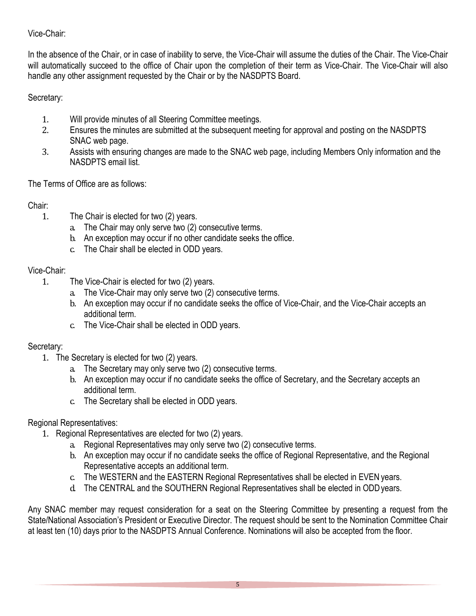## Vice-Chair:

In the absence of the Chair, or in case of inability to serve, the Vice-Chair will assume the duties of the Chair. The Vice-Chair will automatically succeed to the office of Chair upon the completion of their term as Vice-Chair. The Vice-Chair will also handle any other assignment requested by the Chair or by the NASDPTS Board.

Secretary:

- 1. Will provide minutes of all Steering Committee meetings.<br>2. Ensures the minutes are submitted at the subsequent me
- Ensures the minutes are submitted at the subsequent meeting for approval and posting on the NASDPTS SNAC web page.
- 3. Assists with ensuring changes are made to the SNAC web page, including Members Only information and the NASDPTS email list.

The Terms of Office are as follows:

## Chair:

- 1. The Chair is elected for two (2) years.
	- a. The Chair may only serve two (2) consecutive terms.
	- b. An exception may occur if no other candidate seeks the office.
	- c. The Chair shall be elected in ODD years.

## Vice-Chair:

- 1. The Vice-Chair is elected for two (2) years.
	- a. The Vice-Chair may only serve two (2) consecutive terms.
	- b. An exception may occur if no candidate seeks the office of Vice-Chair, and the Vice-Chair accepts an additional term.
	- c. The Vice-Chair shall be elected in ODD years.

## Secretary:

- 1. The Secretary is elected for two (2) years.
	- a. The Secretary may only serve two (2) consecutive terms.
	- b. An exception may occur if no candidate seeks the office of Secretary, and the Secretary accepts an additional term.
	- c. The Secretary shall be elected in ODD years.

## Regional Representatives:

- 1. Regional Representatives are elected for two (2) years.
	- a. Regional Representatives may only serve two (2) consecutive terms.
	- b. An exception may occur if no candidate seeks the office of Regional Representative, and the Regional Representative accepts an additional term.
	- c. The WESTERN and the EASTERN Regional Representatives shall be elected in EVEN years.
	- d. The CENTRAL and the SOUTHERN Regional Representatives shall be elected in ODDyears.

Any SNAC member may request consideration for a seat on the Steering Committee by presenting a request from the State/National Association's President or Executive Director. The request should be sent to the Nomination Committee Chair at least ten (10) days prior to the NASDPTS Annual Conference. Nominations will also be accepted from the floor.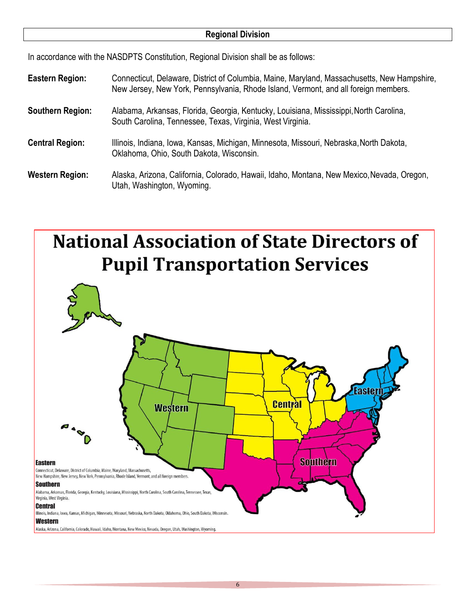## **Regional Division**

In accordance with the NASDPTS Constitution, Regional Division shall be as follows:

- **Eastern Region:** Connecticut, Delaware, District of Columbia, Maine, Maryland, Massachusetts, New Hampshire, New Jersey, New York, Pennsylvania, Rhode Island, Vermont, and all foreign members.
- **Southern Region:** Alabama, Arkansas, Florida, Georgia, Kentucky, Louisiana, Mississippi,North Carolina, South Carolina, Tennessee, Texas, Virginia, West Virginia.
- **Central Region:** Illinois, Indiana, Iowa, Kansas, Michigan, Minnesota, Missouri, Nebraska,North Dakota, Oklahoma, Ohio, South Dakota, Wisconsin.

**Western Region:** Alaska, Arizona, California, Colorado, Hawaii, Idaho, Montana, New Mexico,Nevada, Oregon, Utah, Washington, Wyoming.



Alaska, Arizona, California, Colorado, Hawaii, Idaho, Montana, New Mexico, Nevada, Oregon, Utah, Washington, Wyoming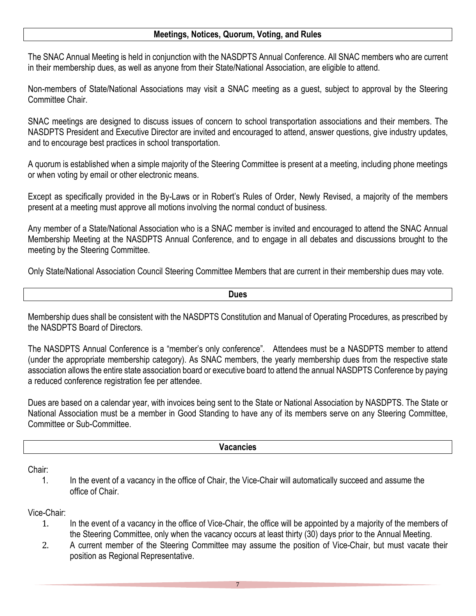## **Meetings, Notices, Quorum, Voting, and Rules**

The SNAC Annual Meeting is held in conjunction with the NASDPTS Annual Conference. All SNAC members who are current in their membership dues, as well as anyone from their State/National Association, are eligible to attend.

Non-members of State/National Associations may visit a SNAC meeting as a guest, subject to approval by the Steering Committee Chair.

SNAC meetings are designed to discuss issues of concern to school transportation associations and their members. The NASDPTS President and Executive Director are invited and encouraged to attend, answer questions, give industry updates, and to encourage best practices in school transportation.

A quorum is established when a simple majority of the Steering Committee is present at a meeting, including phone meetings or when voting by email or other electronic means.

Except as specifically provided in the By-Laws or in Robert's Rules of Order, Newly Revised, a majority of the members present at a meeting must approve all motions involving the normal conduct of business.

Any member of a State/National Association who is a SNAC member is invited and encouraged to attend the SNAC Annual Membership Meeting at the NASDPTS Annual Conference, and to engage in all debates and discussions brought to the meeting by the Steering Committee.

Only State/National Association Council Steering Committee Members that are current in their membership dues may vote.

**Dues**

Membership dues shall be consistent with the NASDPTS Constitution and Manual of Operating Procedures, as prescribed by the NASDPTS Board of Directors.

The NASDPTS Annual Conference is a "member's only conference". Attendees must be a NASDPTS member to attend (under the appropriate membership category). As SNAC members, the yearly membership dues from the respective state association allows the entire state association board or executive board to attend the annual NASDPTS Conference by paying a reduced conference registration fee per attendee.

Dues are based on a calendar year, with invoices being sent to the State or National Association by NASDPTS. The State or National Association must be a member in Good Standing to have any of its members serve on any Steering Committee, Committee or Sub-Committee.

#### **Vacancies**

Chair:

1. In the event of a vacancy in the office of Chair, the Vice-Chair will automatically succeed and assume the office of Chair.

## Vice-Chair:

- 1. In the event of a vacancy in the office of Vice-Chair, the office will be appointed by a majority of the members of the Steering Committee, only when the vacancy occurs at least thirty (30) days prior to the Annual Meeting.
- 2. A current member of the Steering Committee may assume the position of Vice-Chair, but must vacate their position as Regional Representative.